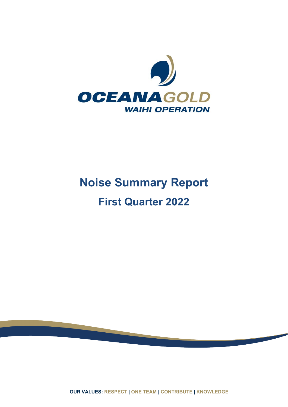

# **Noise Summary Report First Quarter 2022**

**OUR VALUES: RESPECT | ONE TEAM | CONTRIBUTE | KNOWLEDGE**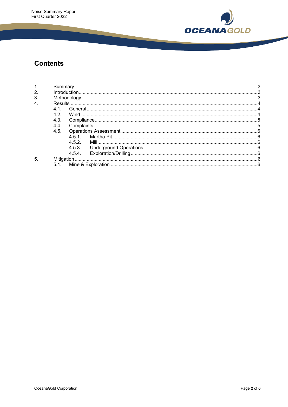

# **Contents**

| $\mathbf 1$      |      |        |  |  |  |
|------------------|------|--------|--|--|--|
| 2.               |      |        |  |  |  |
| 3.               |      |        |  |  |  |
| $\overline{4}$ . |      |        |  |  |  |
|                  | 41   |        |  |  |  |
|                  | 42   |        |  |  |  |
|                  | 4.3. |        |  |  |  |
|                  | 4.4  |        |  |  |  |
|                  | 4.5. |        |  |  |  |
|                  |      | 451    |  |  |  |
|                  |      | 452    |  |  |  |
|                  |      | 4.5.3. |  |  |  |
|                  |      | 4.5.4  |  |  |  |
| 5                |      |        |  |  |  |
|                  | 5.1  |        |  |  |  |
|                  |      |        |  |  |  |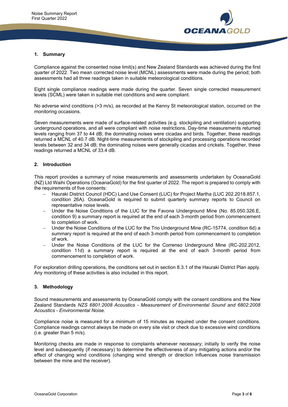

#### **1. Summary**

Compliance against the consented noise limit(s) and New Zealand Standards was achieved during the first quarter of 2022. Two mean corrected noise level (MCNL) assessments were made during the period; both assessments had all three readings taken in suitable meteorological conditions.

Eight single compliance readings were made during the quarter. Seven single corrected measurement levels (SCML) were taken in suitable met conditions and were compliant.

No adverse wind conditions (>3 m/s), as recorded at the Kenny St meteorological station, occurred on the monitoring occasions.

Seven measurements were made of surface-related activities (e.g. stockpiling and ventilation) supporting underground operations, and all were compliant with noise restrictions. Day-time measurements returned levels ranging from 37 to 44 dB; the dominating noises were cicadas and birds. Together, these readings returned a MCNL of 40.7 dB. Night-time measurements of stockpiling and processing operations recorded levels between 32 and 34 dB; the dominating noises were generally cicadas and crickets. Together, these readings returned a MCNL of 33.4 dB.

#### **2. Introduction**

This report provides a summary of noise measurements and assessments undertaken by OceanaGold (NZ) Ltd Waihi Operations (OceanaGold) for the first quarter of 2022. The report is prepared to comply with the requirements of five consents:

- − Hauraki District Council (HDC) Land Use Consent (LUC) for Project Martha (LUC 202.2018.857.1, condition 26A). OceanaGold is required to submit quarterly summary reports to Council on representative noise levels.
- − Under the Noise Conditions of the LUC for the Favona Underground Mine (No. 85.050.326.E, condition 9) a summary report is required at the end of each 3-month period from commencement to completion of work.
- − Under the Noise Conditions of the LUC for the Trio Underground Mine (RC-15774, condition 6d) a summary report is required at the end of each 3-month period from commencement to completion of work.
- Under the Noise Conditions of the LUC for the Correnso Underground Mine (RC-202.2012, condition 11d) a summary report is required at the end of each 3-month period from commencement to completion of work.

For exploration drilling operations, the conditions set out in section 8.3.1 of the Hauraki District Plan apply. Any monitoring of these activities is also included in this report.

#### **3. Methodology**

Sound measurements and assessments by OceanaGold comply with the consent conditions and the New Zealand Standards *NZS 6801:2008 Acoustics - Measurement of Environmental Sound and 6802:2008 Acoustics - Environmental Noise.*

Compliance noise is measured for a minimum of 15 minutes as required under the consent conditions. Compliance readings cannot always be made on every site visit or check due to excessive wind conditions (i.e. greater than 5 m/s).

Monitoring checks are made in response to complaints whenever necessary; initially to verify the noise level and subsequently (if necessary) to determine the effectiveness of any mitigating actions and/or the effect of changing wind conditions (changing wind strength or direction influences noise transmission between the mine and the receiver).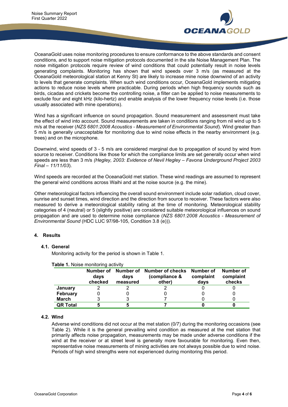

OceanaGold uses noise monitoring procedures to ensure conformance to the above standards and consent conditions, and to support noise mitigation protocols documented in the site Noise Management Plan. The noise mitigation protocols require review of wind conditions that could potentially result in noise levels generating complaints. Monitoring has shown that wind speeds over 3 m/s (as measured at the OceanaGold meteorological station at Kenny St) are likely to increase mine noise downwind of an activity to levels that generate complaints. When such wind conditions occur, OceanaGold implements mitigating actions to reduce noise levels where practicable. During periods when high frequency sounds such as birds, cicadas and crickets become the controlling noise, a filter can be applied to noise measurements to exclude four and eight kHz (kilo-hertz) and enable analysis of the lower frequency noise levels (i.e. those usually associated with mine operations).

Wind has a significant influence on sound propagation. Sound measurement and assessment must take the effect of wind into account. Sound measurements are taken in conditions ranging from nil wind up to 5 m/s at the receiver (*NZS 6801:2008 Acoustics - Measurement of Environmental Sound*). Wind greater than 5 m/s is generally unacceptable for monitoring due to wind noise effects in the nearby environment (e.g. trees) and on the microphone.

Downwind, wind speeds of 3 - 5 m/s are considered marginal due to propagation of sound by wind from source to receiver. Conditions like those for which the compliance limits are set generally occur when wind speeds are less than 3 m/s *(Hegley, 2003: Evidence of Nevil Hegley – Favona Underground Project 2003 Final – 11/11/03*).

Wind speeds are recorded at the OceanaGold met station. These wind readings are assumed to represent the general wind conditions across Waihi and at the noise source (e.g. the mine).

Other meteorological factors influencing the overall sound environment include solar radiation, cloud cover, sunrise and sunset times, wind direction and the direction from source to receiver. These factors were also measured to derive a meteorological stability rating at the time of monitoring. Meteorological stability categories of 4 (neutral) or 5 (slightly positive) are considered suitable meteorological influences on sound propagation and are used to determine noise compliance (*NZS 6801:2008 Acoustics - Measurement of Environmental Sound* (HDC LUC 97/98-105, Condition 3.8 (e))).

# **4. Results**

#### **4.1. General**

Monitoring activity for the period is shown in Table 1.

|                 | Number of<br>days<br>checked | Number of<br>days<br>measured | Number of checks<br>(compliance &<br>other) | Number of<br>complaint<br>days | Number of<br>complaint<br>checks |
|-----------------|------------------------------|-------------------------------|---------------------------------------------|--------------------------------|----------------------------------|
| January         |                              |                               |                                             |                                |                                  |
| <b>February</b> |                              |                               |                                             |                                |                                  |
| March           |                              |                               |                                             |                                |                                  |
| <b>QR Total</b> |                              |                               |                                             |                                |                                  |

# **Table 1.** Noise monitoring activity

#### **4.2. Wind**

Adverse wind conditions did not occur at the met station (0/7) during the monitoring occasions (see Table 2). While it is the general prevailing wind condition as measured at the met station that primarily affects noise propagation, measurements may be made under adverse conditions if the wind at the receiver or at street level is generally more favourable for monitoring. Even then, representative noise measurements of mining activities are not always possible due to wind noise. Periods of high wind strengths were not experienced during monitoring this period.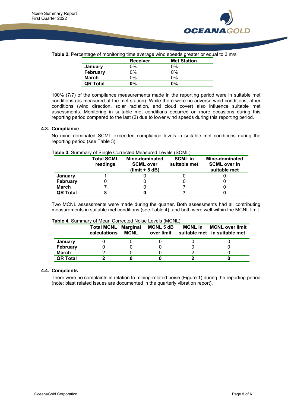

**Table 2.** Percentage of monitoring time average wind speeds greater or equal to 3 m/s

|                 | <b>Receiver</b> | <b>Met Station</b> |
|-----------------|-----------------|--------------------|
| January         | 0%              | 0%                 |
| February        | $0\%$           | $0\%$              |
| <b>March</b>    | 0%              | $0\%$              |
| <b>QR Total</b> | $0\%$           | 0%                 |

100% (7/7) of the compliance measurements made in the reporting period were in suitable met conditions (as measured at the met station). While there were no adverse wind conditions, other conditions (wind direction, solar radiation, and cloud cover) also influence suitable met assessments. Monitoring in suitable met conditions occurred on more occasions during this reporting period compared to the last (2) due to lower wind speeds during this reporting period.

#### **4.3. Compliance**

No mine dominated SCML exceeded compliance levels in suitable met conditions during the reporting period (see Table 3).

#### **Table 3.** Summary of Single Corrected Measured Levels (SCML)

|                 | <b>Total SCML</b><br>readings | Mine-dominated<br><b>SCML over</b><br>$(limit + 5 dB)$ | <b>SCML</b> in<br>suitable met | Mine-dominated<br><b>SCML over in</b><br>suitable met |
|-----------------|-------------------------------|--------------------------------------------------------|--------------------------------|-------------------------------------------------------|
| January         |                               |                                                        |                                |                                                       |
| <b>February</b> |                               |                                                        |                                |                                                       |
| <b>March</b>    |                               |                                                        |                                |                                                       |
| <b>QR Total</b> |                               |                                                        |                                |                                                       |

Two MCNL assessments were made during the quarter. Both assessments had all contributing measurements in suitable met conditions (see Table 4), and both were well within the MCNL limit.

|                 | <b>Total MCNL Marginal</b><br>calculations | <b>MCNL</b> | <b>MCNL 5 dB</b><br>over limit | <b>MCNL</b> in | <b>MCNL over limit</b><br>suitable met in suitable met |
|-----------------|--------------------------------------------|-------------|--------------------------------|----------------|--------------------------------------------------------|
| January         |                                            |             |                                |                |                                                        |
| <b>February</b> |                                            |             |                                |                |                                                        |
| March           |                                            |             |                                |                |                                                        |
| <b>QR Total</b> |                                            |             |                                |                |                                                        |

#### **4.4. Complaints**

There were no complaints in relation to mining-related noise (Figure 1) during the reporting period (note: blast related issues are documented in the quarterly vibration report).